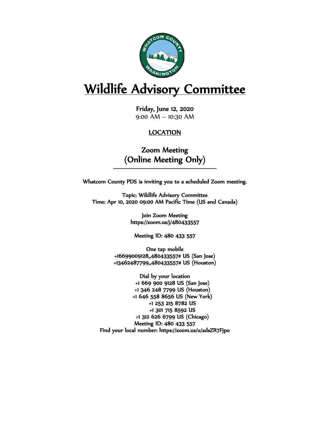

# Wildlife Advisory Committee

Friday, June 12, 2020 9:00 AM – 10:30 AM

#### LOCATION

Zoom Meeting (Online Meeting Only)

Whatcom County PDS is inviting you to a scheduled Zoom meeting.

Topic: Wildlife Advisory Committee Time: Apr 10, 2020 09:00 AM Pacific Time (US and Canada)

> Join Zoom Meeting https://zoom.us/j/480433557

Meeting ID: 480 433 557

One tap mobile +16699009128,,480433557# US (San Jose) +13462487799,,480433557# US (Houston)

Dial by your location +1 669 900 9128 US (San Jose) +1 346 248 7799 US (Houston) +1 646 558 8656 US (New York) +1 253 215 8782 US +1 301 715 8592 US +1 312 626 6799 US (Chicago) Meeting ID: 480 433 557 Find your local number: https://zoom.us/u/adsZR7Fjpo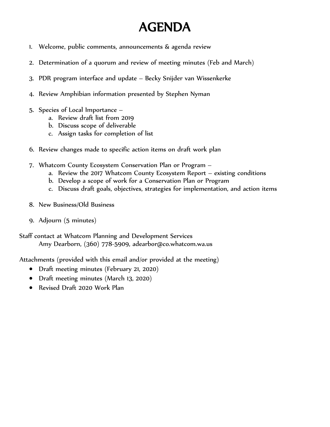# AGENDA

- 1. Welcome, public comments, announcements & agenda review
- 2. Determination of a quorum and review of meeting minutes (Feb and March)
- 3. PDR program interface and update Becky Snijder van Wissenkerke
- 4. Review Amphibian information presented by Stephen Nyman
- 5. Species of Local Importance
	- a. Review draft list from 2019
	- b. Discuss scope of deliverable
	- c. Assign tasks for completion of list
- 6. Review changes made to specific action items on draft work plan
- 7. Whatcom County Ecosystem Conservation Plan or Program
	- a. Review the 2017 Whatcom County Ecosystem Report existing conditions
	- b. Develop a scope of work for a Conservation Plan or Program
	- c. Discuss draft goals, objectives, strategies for implementation, and action items
- 8. New Business/Old Business
- 9. Adjourn (5 minutes)

Staff contact at Whatcom Planning and Development Services Amy Dearborn, (360) 778-5909, adearbor@co.whatcom.wa.us

Attachments (provided with this email and/or provided at the meeting)

- Draft meeting minutes (February 21, 2020)
- Draft meeting minutes (March 13, 2020)
- Revised Draft 2020 Work Plan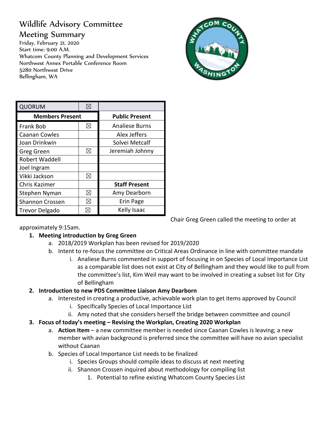## Wildlife Advisory Committee

#### Meeting Summary

Friday, February 21, 2020 Start time: 9:00 A.M. Whatcom County Planning and Development Services Northwest Annex Portable Conference Room 5280 Northwest Drive Bellingham, WA



Chair Greg Green called the meeting to order at

| <b>QUORUM</b>          |             |                       |
|------------------------|-------------|-----------------------|
| <b>Members Present</b> |             | <b>Public Present</b> |
| Frank Bob              | $\boxtimes$ | <b>Analiese Burns</b> |
| <b>Caanan Cowles</b>   |             | Alex Jeffers          |
| Joan Drinkwin          |             | Solvei Metcalf        |
| Greg Green             | ⊠           | Jeremiah Johnny       |
| Robert Waddell         |             |                       |
| Joel Ingram            |             |                       |
| Vikki Jackson          | ⊠           |                       |
| Chris Kazimer          |             | <b>Staff Present</b>  |
| Stephen Nyman          | $\boxtimes$ | Amy Dearborn          |
| Shannon Crossen        | ⊠           | Erin Page             |
| <b>Trevor Delgado</b>  | $\boxtimes$ | Kelly Isaac           |

approximately 9:15am.

#### **1. Meeting introduction by Greg Green**

- a. 2018/2019 Workplan has been revised for 2019/2020
- b. Intent to re-focus the committee on Critical Areas Ordinance in line with committee mandate
	- i. Analiese Burns commented in support of focusing in on Species of Local Importance List as a comparable list does not exist at City of Bellingham and they would like to pull from the committee's list, Kim Weil may want to be involved in creating a subset list for City of Bellingham

#### **2. Introduction to new PDS Committee Liaison Amy Dearborn**

- a. Interested in creating a productive, achievable work plan to get items approved by Council
	- i. Specifically Species of Local Importance List
	- ii. Amy noted that she considers herself the bridge between committee and council
- **3. Focus of today's meeting – Revising the Workplan, Creating 2020 Workplan**
	- a. **Action Item** a new committee member is needed since Caanan Cowles is leaving; a new member with avian background is preferred since the committee will have no avian specialist without Caanan
	- b. Species of Local Importance List needs to be finalized
		- i. Species Groups should compile ideas to discuss at next meeting
		- ii. Shannon Crossen inquired about methodology for compiling list
			- 1. Potential to refine existing Whatcom County Species List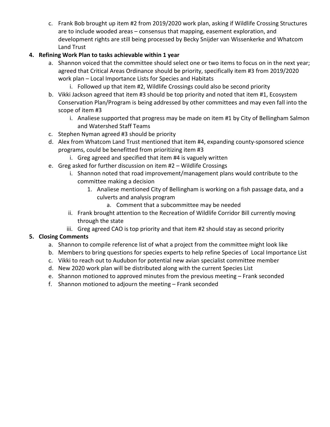c. Frank Bob brought up item #2 from 2019/2020 work plan, asking if Wildlife Crossing Structures are to include wooded areas – consensus that mapping, easement exploration, and development rights are still being processed by Becky Snijder van Wissenkerke and Whatcom Land Trust

#### **4. Refining Work Plan to tasks achievable within 1 year**

- a. Shannon voiced that the committee should select one or two items to focus on in the next year; agreed that Critical Areas Ordinance should be priority, specifically item #3 from 2019/2020 work plan – Local Importance Lists for Species and Habitats
	- i. Followed up that item #2, Wildlife Crossings could also be second priority
- b. Vikki Jackson agreed that item #3 should be top priority and noted that item #1, Ecosystem Conservation Plan/Program is being addressed by other committees and may even fall into the scope of item #3
	- i. Analiese supported that progress may be made on item #1 by City of Bellingham Salmon and Watershed Staff Teams
- c. Stephen Nyman agreed #3 should be priority
- d. Alex from Whatcom Land Trust mentioned that item #4, expanding county-sponsored science programs, could be benefitted from prioritizing item #3
	- i. Greg agreed and specified that item #4 is vaguely written
- e. Greg asked for further discussion on item #2 Wildlife Crossings
	- i. Shannon noted that road improvement/management plans would contribute to the committee making a decision
		- 1. Analiese mentioned City of Bellingham is working on a fish passage data, and a culverts and analysis program
			- a. Comment that a subcommittee may be needed
	- ii. Frank brought attention to the Recreation of Wildlife Corridor Bill currently moving through the state
	- iii. Greg agreed CAO is top priority and that item #2 should stay as second priority

#### **5. Closing Comments**

- a. Shannon to compile reference list of what a project from the committee might look like
- b. Members to bring questions for species experts to help refine Species of Local Importance List
- c. Vikki to reach out to Audubon for potential new avian specialist committee member
- d. New 2020 work plan will be distributed along with the current Species List
- e. Shannon motioned to approved minutes from the previous meeting Frank seconded
- f. Shannon motioned to adjourn the meeting Frank seconded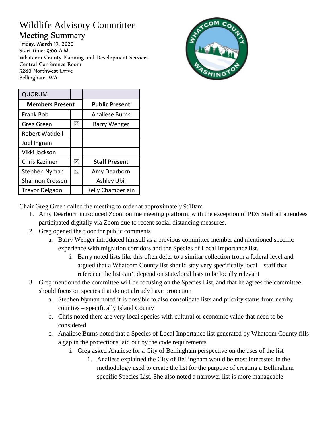### Wildlife Advisory Committee Meeting Summary

Friday, March 13, 2020 Start time: 9:00 A.M. Whatcom County Planning and Development Services Central Conference Room 5280 Northwest Drive Bellingham, WA



| QUORUM                 |             |                       |
|------------------------|-------------|-----------------------|
| <b>Members Present</b> |             | <b>Public Present</b> |
| <b>Frank Bob</b>       |             | <b>Analiese Burns</b> |
| Greg Green             | $\boxtimes$ | <b>Barry Wenger</b>   |
| <b>Robert Waddell</b>  |             |                       |
| Joel Ingram            |             |                       |
| Vikki Jackson          |             |                       |
| Chris Kazimer          | ⊠           | <b>Staff Present</b>  |
| Stephen Nyman          | $\boxtimes$ | Amy Dearborn          |
| Shannon Crossen        |             | Ashley Ubil           |
| Trevor Delgado         |             | Kelly Chamberlain     |

Chair Greg Green called the meeting to order at approximately 9:10am

- 1. Amy Dearborn introduced Zoom online meeting platform, with the exception of PDS Staff all attendees participated digitally via Zoom due to recent social distancing measures.
- 2. Greg opened the floor for public comments
	- a. Barry Wenger introduced himself as a previous committee member and mentioned specific experience with migration corridors and the Species of Local Importance list.
		- i. Barry noted lists like this often defer to a similar collection from a federal level and argued that a Whatcom County list should stay very specifically local – staff that reference the list can't depend on state/local lists to be locally relevant
- 3. Greg mentioned the committee will be focusing on the Species List, and that he agrees the committee should focus on species that do not already have protection
	- a. Stephen Nyman noted it is possible to also consolidate lists and priority status from nearby counties – specifically Island County
	- b. Chris noted there are very local species with cultural or economic value that need to be considered
	- c. Analiese Burns noted that a Species of Local Importance list generated by Whatcom County fills a gap in the protections laid out by the code requirements
		- i. Greg asked Analiese for a City of Bellingham perspective on the uses of the list
			- 1. Analiese explained the City of Bellingham would be most interested in the methodology used to create the list for the purpose of creating a Bellingham specific Species List. She also noted a narrower list is more manageable.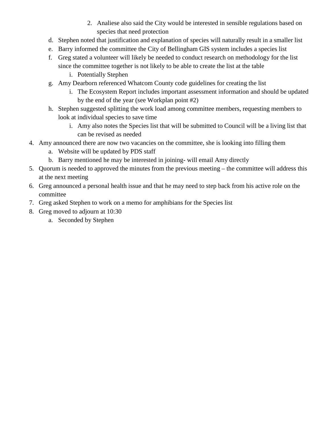- 2. Analiese also said the City would be interested in sensible regulations based on species that need protection
- d. Stephen noted that justification and explanation of species will naturally result in a smaller list
- e. Barry informed the committee the City of Bellingham GIS system includes a species list
- f. Greg stated a volunteer will likely be needed to conduct research on methodology for the list since the committee together is not likely to be able to create the list at the table
	- i. Potentially Stephen
- g. Amy Dearborn referenced Whatcom County code guidelines for creating the list
	- i. The Ecosystem Report includes important assessment information and should be updated by the end of the year (see Workplan point #2)
- h. Stephen suggested splitting the work load among committee members, requesting members to look at individual species to save time
	- i. Amy also notes the Species list that will be submitted to Council will be a living list that can be revised as needed
- 4. Amy announced there are now two vacancies on the committee, she is looking into filling them
	- a. Website will be updated by PDS staff
	- b. Barry mentioned he may be interested in joining- will email Amy directly
- 5. Quorum is needed to approved the minutes from the previous meeting the committee will address this at the next meeting
- 6. Greg announced a personal health issue and that he may need to step back from his active role on the committee
- 7. Greg asked Stephen to work on a memo for amphibians for the Species list
- 8. Greg moved to adjourn at 10:30
	- a. Seconded by Stephen